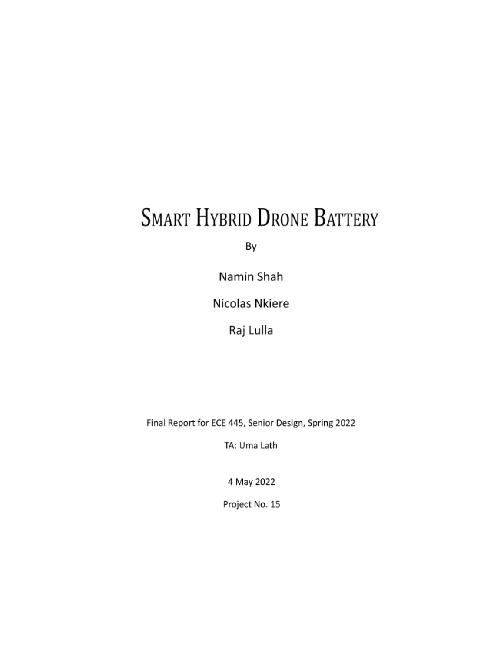# **SMART HYBRID DRONE BATTERY**

By

Namin Shah

Nicolas Nkiere

Raj Lulla

Final Report for ECE 445, Senior Design, Spring 2022

TA: Uma Lath

4 May 2022

Project No. 15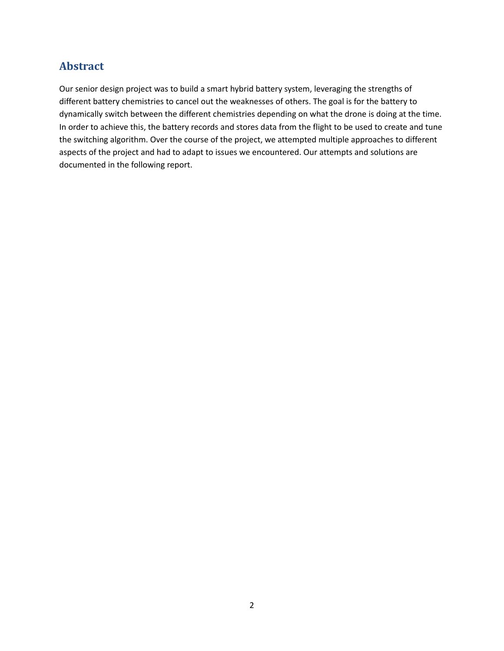# **Abstract**

Our senior design project was to build a smart hybrid battery system, leveraging the strengths of different battery chemistries to cancel out the weaknesses of others. The goal is for the battery to dynamically switch between the different chemistries depending on what the drone is doing at the time. In order to achieve this, the battery records and stores data from the flight to be used to create and tune the switching algorithm. Over the course of the project, we attempted multiple approaches to different aspects of the project and had to adapt to issues we encountered. Our attempts and solutions are documented in the following report.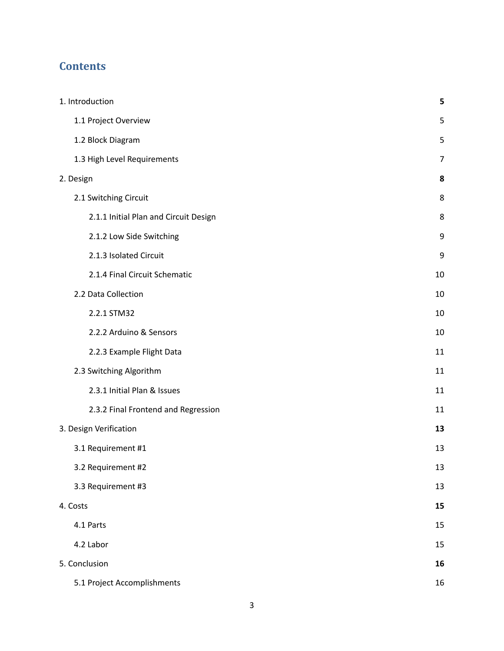# **Contents**

| 1. Introduction                       | 5  |
|---------------------------------------|----|
| 1.1 Project Overview                  | 5  |
| 1.2 Block Diagram                     | 5  |
| 1.3 High Level Requirements           | 7  |
| 2. Design                             | 8  |
| 2.1 Switching Circuit                 | 8  |
| 2.1.1 Initial Plan and Circuit Design | 8  |
| 2.1.2 Low Side Switching              | 9  |
| 2.1.3 Isolated Circuit                | 9  |
| 2.1.4 Final Circuit Schematic         | 10 |
| 2.2 Data Collection                   | 10 |
| 2.2.1 STM32                           | 10 |
| 2.2.2 Arduino & Sensors               | 10 |
| 2.2.3 Example Flight Data             | 11 |
| 2.3 Switching Algorithm               | 11 |
| 2.3.1 Initial Plan & Issues           | 11 |
| 2.3.2 Final Frontend and Regression   | 11 |
| 3. Design Verification                | 13 |
| 3.1 Requirement #1                    | 13 |
| 3.2 Requirement #2                    | 13 |
| 3.3 Requirement #3                    | 13 |
| 4. Costs                              | 15 |
| 4.1 Parts                             | 15 |
| 4.2 Labor                             | 15 |
| 5. Conclusion                         | 16 |
| 5.1 Project Accomplishments           | 16 |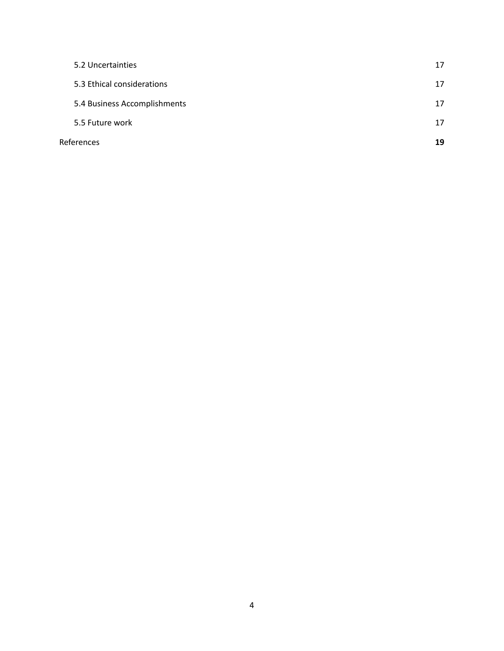| References                   | 19 |
|------------------------------|----|
| 5.5 Future work              | 17 |
| 5.4 Business Accomplishments | 17 |
| 5.3 Ethical considerations   | 17 |
| 5.2 Uncertainties            | 17 |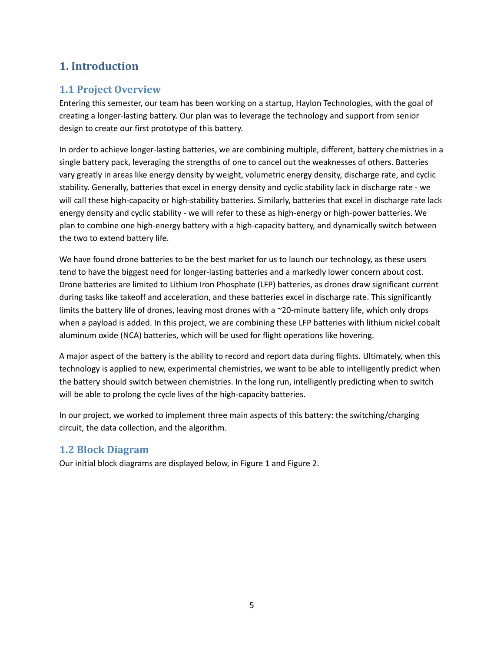# <span id="page-4-0"></span>**1. Introduction**

## <span id="page-4-1"></span>**1.1 Project Overview**

Entering this semester, our team has been working on a startup, Haylon Technologies, with the goal of creating a longer-lasting battery. Our plan was to leverage the technology and support from senior design to create our first prototype of this battery.

In order to achieve longer-lasting batteries, we are combining multiple, different, battery chemistries in a single battery pack, leveraging the strengths of one to cancel out the weaknesses of others. Batteries vary greatly in areas like energy density by weight, volumetric energy density, discharge rate, and cyclic stability. Generally, batteries that excel in energy density and cyclic stability lack in discharge rate - we will call these high-capacity or high-stability batteries. Similarly, batteries that excel in discharge rate lack energy density and cyclic stability - we will refer to these as high-energy or high-power batteries. We plan to combine one high-energy battery with a high-capacity battery, and dynamically switch between the two to extend battery life.

We have found drone batteries to be the best market for us to launch our technology, as these users tend to have the biggest need for longer-lasting batteries and a markedly lower concern about cost. Drone batteries are limited to Lithium Iron Phosphate (LFP) batteries, as drones draw significant current during tasks like takeoff and acceleration, and these batteries excel in discharge rate. This significantly limits the battery life of drones, leaving most drones with a ~20-minute battery life, which only drops when a payload is added. In this project, we are combining these LFP batteries with lithium nickel cobalt aluminum oxide (NCA) batteries, which will be used for flight operations like hovering.

A major aspect of the battery is the ability to record and report data during flights. Ultimately, when this technology is applied to new, experimental chemistries, we want to be able to intelligently predict when the battery should switch between chemistries. In the long run, intelligently predicting when to switch will be able to prolong the cycle lives of the high-capacity batteries.

In our project, we worked to implement three main aspects of this battery: the switching/charging circuit, the data collection, and the algorithm.

## <span id="page-4-2"></span>**1.2 Block Diagram**

Our initial block diagrams are displayed below, in Figure 1 and Figure 2.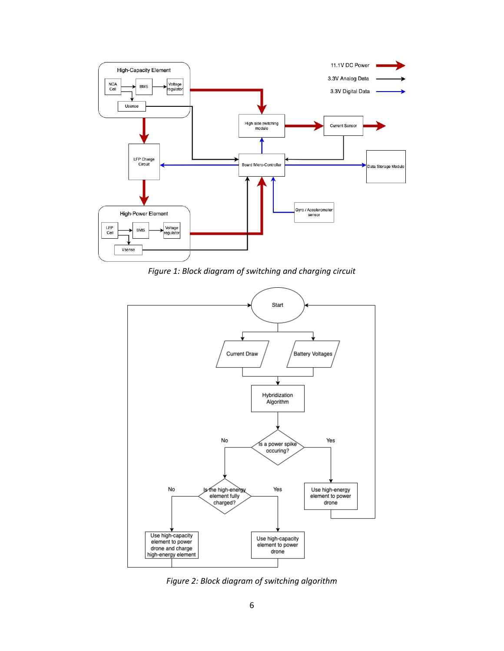

*Figure 1: Block diagram of switching and charging circuit*



*Figure 2: Block diagram of switching algorithm*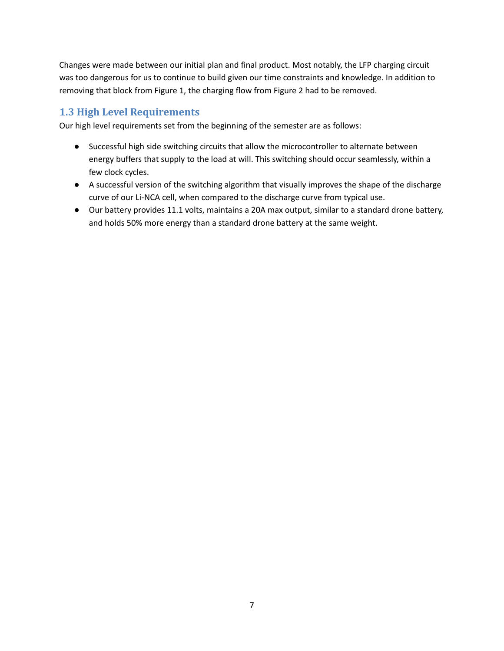Changes were made between our initial plan and final product. Most notably, the LFP charging circuit was too dangerous for us to continue to build given our time constraints and knowledge. In addition to removing that block from Figure 1, the charging flow from Figure 2 had to be removed.

## <span id="page-6-0"></span>**1.3 High Level Requirements**

Our high level requirements set from the beginning of the semester are as follows:

- Successful high side switching circuits that allow the microcontroller to alternate between energy buffers that supply to the load at will. This switching should occur seamlessly, within a few clock cycles.
- A successful version of the switching algorithm that visually improves the shape of the discharge curve of our Li-NCA cell, when compared to the discharge curve from typical use.
- Our battery provides 11.1 volts, maintains a 20A max output, similar to a standard drone battery, and holds 50% more energy than a standard drone battery at the same weight.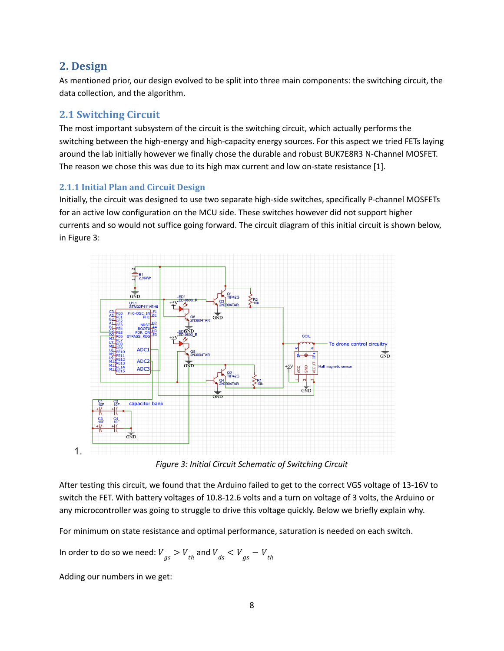## <span id="page-7-0"></span>**2. Design**

As mentioned prior, our design evolved to be split into three main components: the switching circuit, the data collection, and the algorithm.

## <span id="page-7-1"></span>**2.1 Switching Circuit**

The most important subsystem of the circuit is the switching circuit, which actually performs the switching between the high-energy and high-capacity energy sources. For this aspect we tried FETs laying around the lab initially however we finally chose the durable and robust BUK7E8R3 N-Channel MOSFET. The reason we chose this was due to its high max current and low on-state resistance [1].

## <span id="page-7-2"></span>**2.1.1 Initial Plan and Circuit Design**

Initially, the circuit was designed to use two separate high-side switches, specifically P-channel MOSFETs for an active low configuration on the MCU side. These switches however did not support higher currents and so would not suffice going forward. The circuit diagram of this initial circuit is shown below, in Figure 3:



*Figure 3: Initial Circuit Schematic of Switching Circuit*

After testing this circuit, we found that the Arduino failed to get to the correct VGS voltage of 13-16V to switch the FET. With battery voltages of 10.8-12.6 volts and a turn on voltage of 3 volts, the Arduino or any microcontroller was going to struggle to drive this voltage quickly. Below we briefly explain why.

For minimum on state resistance and optimal performance, saturation is needed on each switch.

In order to do so we need:  ${V}_{gs} > {V}_{th}$  and  ${V}_{ds} < {V}_{gs} - {V}_{th}$ 

Adding our numbers in we get: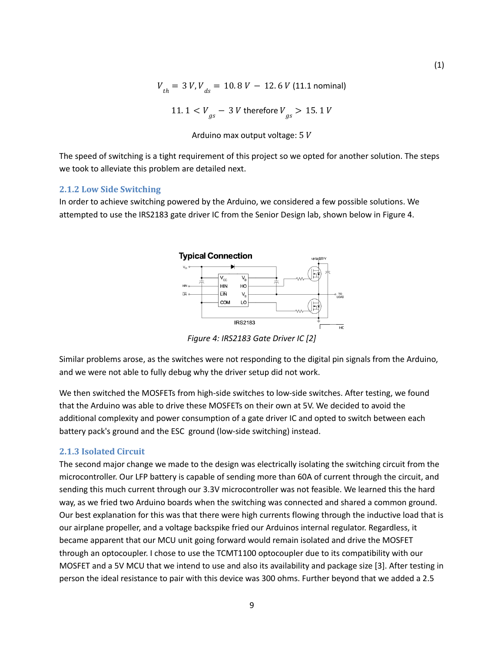$$
V_{th} = 3 V, V_{ds} = 10.8 V - 12.6 V (11.1 \text{ nominal})
$$
  
11.1 
$$
V_{gs} - 3 V \text{ therefore } V_{gs} > 15.1 V
$$

Arduino max output voltage:  $5V$ 

The speed of switching is a tight requirement of this project so we opted for another solution. The steps we took to alleviate this problem are detailed next.

#### <span id="page-8-0"></span>**2.1.2 Low Side Switching**

In order to achieve switching powered by the Arduino, we considered a few possible solutions. We attempted to use the IRS2183 gate driver IC from the Senior Design lab, shown below in Figure 4.



*Figure 4: IRS2183 Gate Driver IC [2]*

Similar problems arose, as the switches were not responding to the digital pin signals from the Arduino, and we were not able to fully debug why the driver setup did not work.

We then switched the MOSFETs from high-side switches to low-side switches. After testing, we found that the Arduino was able to drive these MOSFETs on their own at 5V. We decided to avoid the additional complexity and power consumption of a gate driver IC and opted to switch between each battery pack's ground and the ESC ground (low-side switching) instead.

#### <span id="page-8-1"></span>**2.1.3 Isolated Circuit**

The second major change we made to the design was electrically isolating the switching circuit from the microcontroller. Our LFP battery is capable of sending more than 60A of current through the circuit, and sending this much current through our 3.3V microcontroller was not feasible. We learned this the hard way, as we fried two Arduino boards when the switching was connected and shared a common ground. Our best explanation for this was that there were high currents flowing through the inductive load that is our airplane propeller, and a voltage backspike fried our Arduinos internal regulator. Regardless, it became apparent that our MCU unit going forward would remain isolated and drive the MOSFET through an optocoupler. I chose to use the TCMT1100 optocoupler due to its compatibility with our MOSFET and a 5V MCU that we intend to use and also its availability and package size [3]. After testing in person the ideal resistance to pair with this device was 300 ohms. Further beyond that we added a 2.5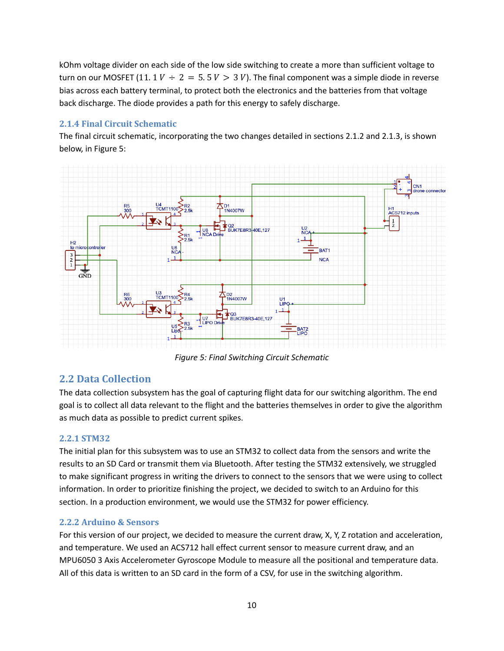kOhm voltage divider on each side of the low side switching to create a more than sufficient voltage to turn on our MOSFET (11. 1  $V \div 2 = 5.5 V > 3 V$ ). The final component was a simple diode in reverse bias across each battery terminal, to protect both the electronics and the batteries from that voltage back discharge. The diode provides a path for this energy to safely discharge.

#### <span id="page-9-0"></span>**2.1.4 Final Circuit Schematic**

The final circuit schematic, incorporating the two changes detailed in sections 2.1.2 and 2.1.3, is shown below, in Figure 5:



*Figure 5: Final Switching Circuit Schematic*

## <span id="page-9-1"></span>**2.2 Data Collection**

The data collection subsystem has the goal of capturing flight data for our switching algorithm. The end goal is to collect all data relevant to the flight and the batteries themselves in order to give the algorithm as much data as possible to predict current spikes.

#### <span id="page-9-2"></span>**2.2.1 STM32**

The initial plan for this subsystem was to use an STM32 to collect data from the sensors and write the results to an SD Card or transmit them via Bluetooth. After testing the STM32 extensively, we struggled to make significant progress in writing the drivers to connect to the sensors that we were using to collect information. In order to prioritize finishing the project, we decided to switch to an Arduino for this section. In a production environment, we would use the STM32 for power efficiency.

#### <span id="page-9-3"></span>**2.2.2 Arduino & Sensors**

For this version of our project, we decided to measure the current draw, X, Y, Z rotation and acceleration, and temperature. We used an ACS712 hall effect current sensor to measure current draw, and an MPU6050 3 Axis Accelerometer Gyroscope Module to measure all the positional and temperature data. All of this data is written to an SD card in the form of a CSV, for use in the switching algorithm.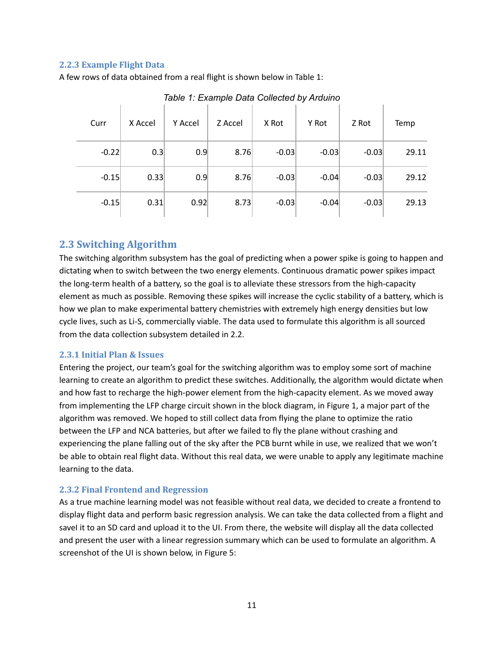#### <span id="page-10-0"></span>**2.2.3 Example Flight Data**

A few rows of data obtained from a real flight is shown below in Table 1:

| Curr    | X Accel | Y Accel | Z Accel | X Rot   | Y Rot   | Z Rot   | Temp  |
|---------|---------|---------|---------|---------|---------|---------|-------|
| $-0.22$ | 0.3     | 0.9     | 8.76    | $-0.03$ | $-0.03$ | $-0.03$ | 29.11 |
| $-0.15$ | 0.33    | 0.9     | 8.76    | $-0.03$ | $-0.04$ | $-0.03$ | 29.12 |
| $-0.15$ | 0.31    | 0.92    | 8.73    | $-0.03$ | $-0.04$ | $-0.03$ | 29.13 |

*Table 1: Example Data Collected by Arduino*

### <span id="page-10-1"></span>**2.3 Switching Algorithm**

The switching algorithm subsystem has the goal of predicting when a power spike is going to happen and dictating when to switch between the two energy elements. Continuous dramatic power spikes impact the long-term health of a battery, so the goal is to alleviate these stressors from the high-capacity element as much as possible. Removing these spikes will increase the cyclic stability of a battery, which is how we plan to make experimental battery chemistries with extremely high energy densities but low cycle lives, such as Li-S, commercially viable. The data used to formulate this algorithm is all sourced from the data collection subsystem detailed in 2.2.

#### <span id="page-10-2"></span>**2.3.1 Initial Plan & Issues**

Entering the project, our team's goal for the switching algorithm was to employ some sort of machine learning to create an algorithm to predict these switches. Additionally, the algorithm would dictate when and how fast to recharge the high-power element from the high-capacity element. As we moved away from implementing the LFP charge circuit shown in the block diagram, in Figure 1, a major part of the algorithm was removed. We hoped to still collect data from flying the plane to optimize the ratio between the LFP and NCA batteries, but after we failed to fly the plane without crashing and experiencing the plane falling out of the sky after the PCB burnt while in use, we realized that we won't be able to obtain real flight data. Without this real data, we were unable to apply any legitimate machine learning to the data.

#### <span id="page-10-3"></span>**2.3.2 Final Frontend and Regression**

As a true machine learning model was not feasible without real data, we decided to create a frontend to display flight data and perform basic regression analysis. We can take the data collected from a flight and saveI it to an SD card and upload it to the UI. From there, the website will display all the data collected and present the user with a linear regression summary which can be used to formulate an algorithm. A screenshot of the UI is shown below, in Figure 5: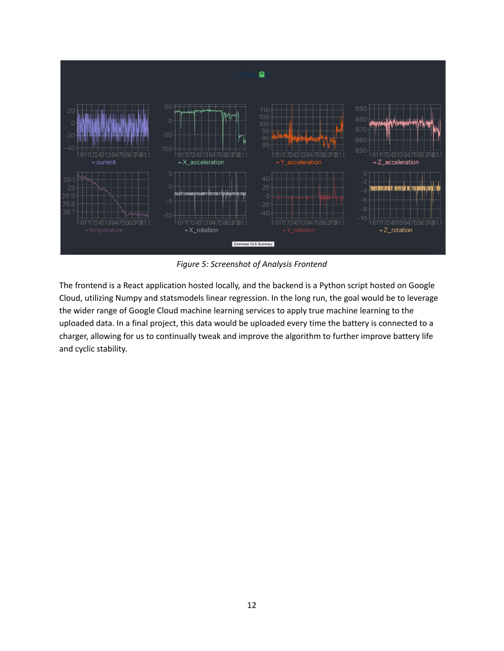

*Figure 5: Screenshot of Analysis Frontend*

The frontend is a React application hosted locally, and the backend is a Python script hosted on Google Cloud, utilizing Numpy and statsmodels linear regression. In the long run, the goal would be to leverage the wider range of Google Cloud machine learning services to apply true machine learning to the uploaded data. In a final project, this data would be uploaded every time the battery is connected to a charger, allowing for us to continually tweak and improve the algorithm to further improve battery life and cyclic stability.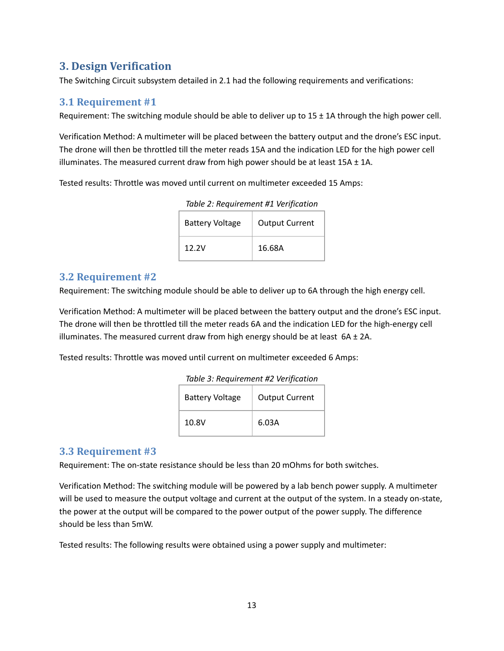# <span id="page-12-0"></span>**3. Design Verification**

The Switching Circuit subsystem detailed in 2.1 had the following requirements and verifications:

## <span id="page-12-1"></span>**3.1 Requirement #1**

Requirement: The switching module should be able to deliver up to  $15 \pm 1$ A through the high power cell.

Verification Method: A multimeter will be placed between the battery output and the drone's ESC input. The drone will then be throttled till the meter reads 15A and the indication LED for the high power cell illuminates. The measured current draw from high power should be at least  $15A \pm 1A$ .

Tested results: Throttle was moved until current on multimeter exceeded 15 Amps:

| <b>Battery Voltage</b> | <b>Output Current</b> |
|------------------------|-----------------------|
| 12.2V                  | 16.68A                |

*Table 2: Requirement #1 Verification*

#### <span id="page-12-2"></span>**3.2 Requirement #2**

Requirement: The switching module should be able to deliver up to 6A through the high energy cell.

Verification Method: A multimeter will be placed between the battery output and the drone's ESC input. The drone will then be throttled till the meter reads 6A and the indication LED for the high-energy cell illuminates. The measured current draw from high energy should be at least  $6A \pm 2A$ .

Tested results: Throttle was moved until current on multimeter exceeded 6 Amps:

| Table 3: Requirement #2 Verification |  |
|--------------------------------------|--|
|--------------------------------------|--|

| <b>Battery Voltage</b> | <b>Output Current</b> |
|------------------------|-----------------------|
| 10.8V                  | 6.03A                 |

## <span id="page-12-3"></span>**3.3 Requirement #3**

Requirement: The on-state resistance should be less than 20 mOhms for both switches.

Verification Method: The switching module will be powered by a lab bench power supply. A multimeter will be used to measure the output voltage and current at the output of the system. In a steady on-state, the power at the output will be compared to the power output of the power supply. The difference should be less than 5mW.

Tested results: The following results were obtained using a power supply and multimeter: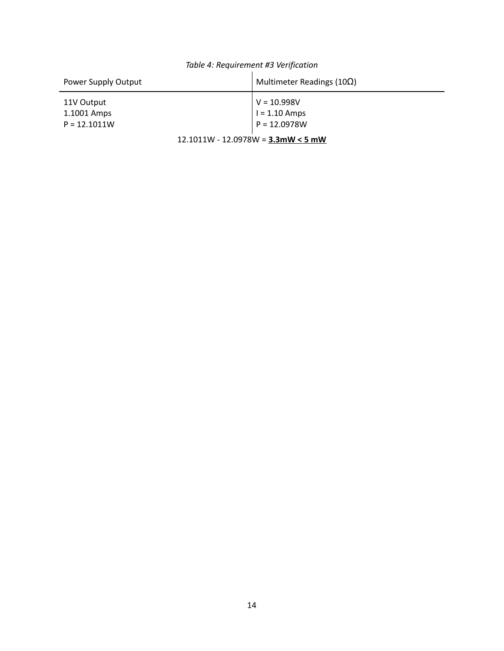| Power Supply Output                         | Multimeter Readings (10 $\Omega$ )                 |  |
|---------------------------------------------|----------------------------------------------------|--|
| 11V Output<br>1.1001 Amps<br>$P = 12.1011W$ | $V = 10.998V$<br>$I = 1.10$ Amps<br>$P = 12.0978W$ |  |
| $12.1011W - 12.0978W = 3.3mW < 5mW$         |                                                    |  |

# *Table 4: Requirement #3 Verification*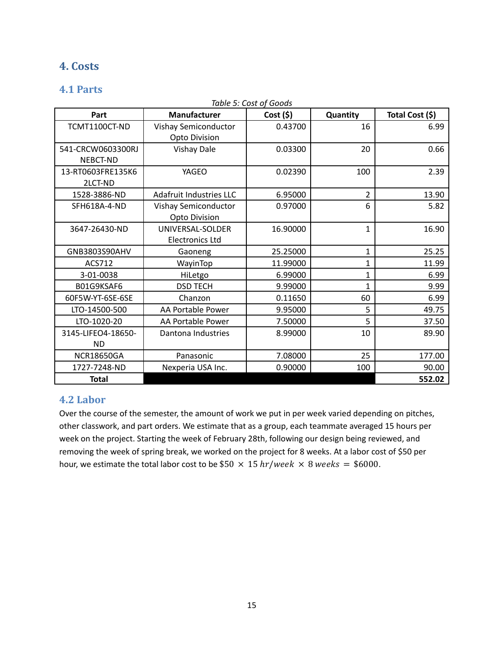# <span id="page-14-0"></span>**4. Costs**

## <span id="page-14-1"></span>**4.1 Parts**

|                    |                                | Table 5: Cost of Goods |                |                 |
|--------------------|--------------------------------|------------------------|----------------|-----------------|
| Part               | <b>Manufacturer</b>            | Cost(5)                | Quantity       | Total Cost (\$) |
| TCMT1100CT-ND      | Vishay Semiconductor           | 0.43700                | 16             | 6.99            |
|                    | Opto Division                  |                        |                |                 |
| 541-CRCW0603300RJ  | <b>Vishay Dale</b>             | 0.03300                | 20             | 0.66            |
| NEBCT-ND           |                                |                        |                |                 |
| 13-RT0603FRE135K6  | YAGEO                          | 0.02390                | 100            | 2.39            |
| 2LCT-ND            |                                |                        |                |                 |
| 1528-3886-ND       | <b>Adafruit Industries LLC</b> | 6.95000                | $\overline{2}$ | 13.90           |
| SFH618A-4-ND       | Vishay Semiconductor           | 0.97000                | 6              | 5.82            |
|                    | <b>Opto Division</b>           |                        |                |                 |
| 3647-26430-ND      | UNIVERSAL-SOLDER               | 16.90000               | $\mathbf{1}$   | 16.90           |
|                    | <b>Electronics Ltd</b>         |                        |                |                 |
| GNB3803S90AHV      | Gaoneng                        | 25.25000               | $\mathbf{1}$   | 25.25           |
| ACS712             | WayinTop                       | 11.99000               | $\mathbf{1}$   | 11.99           |
| 3-01-0038          | HiLetgo                        | 6.99000                | $\mathbf{1}$   | 6.99            |
| B01G9KSAF6         | <b>DSD TECH</b>                | 9.99000                | 1              | 9.99            |
| 60F5W-YT-6SE-6SE   | Chanzon                        | 0.11650                | 60             | 6.99            |
| LTO-14500-500      | AA Portable Power              | 9.95000                | 5              | 49.75           |
| LTO-1020-20        | AA Portable Power              | 7.50000                | 5              | 37.50           |
| 3145-LIFEO4-18650- | Dantona Industries             | 8.99000                | 10             | 89.90           |
| <b>ND</b>          |                                |                        |                |                 |
| <b>NCR18650GA</b>  | Panasonic                      | 7.08000                | 25             | 177.00          |
| 1727-7248-ND       | Nexperia USA Inc.              | 0.90000                | 100            | 90.00           |
| <b>Total</b>       |                                |                        |                | 552.02          |

## <span id="page-14-2"></span>**4.2 Labor**

Over the course of the semester, the amount of work we put in per week varied depending on pitches, other classwork, and part orders. We estimate that as a group, each teammate averaged 15 hours per week on the project. Starting the week of February 28th, following our design being reviewed, and removing the week of spring break, we worked on the project for 8 weeks. At a labor cost of \$50 per hour, we estimate the total labor cost to be  $$50 \times 15$  hr/week  $\times 8$  weeks = \$6000.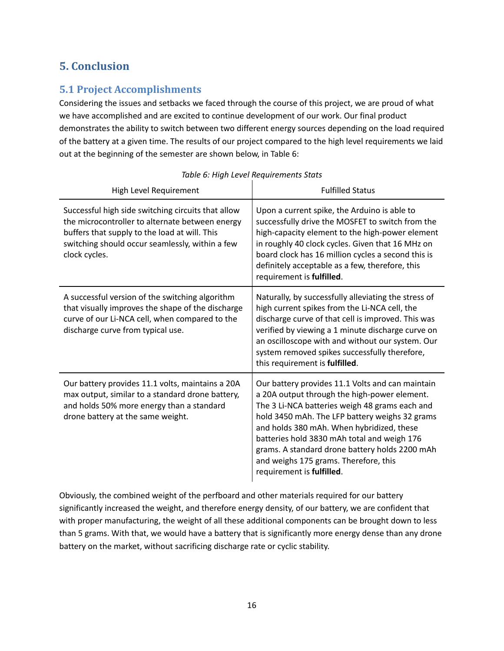# <span id="page-15-0"></span>**5. Conclusion**

# <span id="page-15-1"></span>**5.1 Project Accomplishments**

Considering the issues and setbacks we faced through the course of this project, we are proud of what we have accomplished and are excited to continue development of our work. Our final product demonstrates the ability to switch between two different energy sources depending on the load required of the battery at a given time. The results of our project compared to the high level requirements we laid out at the beginning of the semester are shown below, in Table 6:

| High Level Requirement                                                                                                                                                                                                     | <b>Fulfilled Status</b>                                                                                                                                                                                                                                                                                                                                                                                                  |
|----------------------------------------------------------------------------------------------------------------------------------------------------------------------------------------------------------------------------|--------------------------------------------------------------------------------------------------------------------------------------------------------------------------------------------------------------------------------------------------------------------------------------------------------------------------------------------------------------------------------------------------------------------------|
| Successful high side switching circuits that allow<br>the microcontroller to alternate between energy<br>buffers that supply to the load at will. This<br>switching should occur seamlessly, within a few<br>clock cycles. | Upon a current spike, the Arduino is able to<br>successfully drive the MOSFET to switch from the<br>high-capacity element to the high-power element<br>in roughly 40 clock cycles. Given that 16 MHz on<br>board clock has 16 million cycles a second this is<br>definitely acceptable as a few, therefore, this<br>requirement is fulfilled.                                                                            |
| A successful version of the switching algorithm<br>that visually improves the shape of the discharge<br>curve of our Li-NCA cell, when compared to the<br>discharge curve from typical use.                                | Naturally, by successfully alleviating the stress of<br>high current spikes from the Li-NCA cell, the<br>discharge curve of that cell is improved. This was<br>verified by viewing a 1 minute discharge curve on<br>an oscilloscope with and without our system. Our<br>system removed spikes successfully therefore,<br>this requirement is fulfilled.                                                                  |
| Our battery provides 11.1 volts, maintains a 20A<br>max output, similar to a standard drone battery,<br>and holds 50% more energy than a standard<br>drone battery at the same weight.                                     | Our battery provides 11.1 Volts and can maintain<br>a 20A output through the high-power element.<br>The 3 Li-NCA batteries weigh 48 grams each and<br>hold 3450 mAh. The LFP battery weighs 32 grams<br>and holds 380 mAh. When hybridized, these<br>batteries hold 3830 mAh total and weigh 176<br>grams. A standard drone battery holds 2200 mAh<br>and weighs 175 grams. Therefore, this<br>requirement is fulfilled. |

*Table 6: High Level Requirements Stats*

Obviously, the combined weight of the perfboard and other materials required for our battery significantly increased the weight, and therefore energy density, of our battery, we are confident that with proper manufacturing, the weight of all these additional components can be brought down to less than 5 grams. With that, we would have a battery that is significantly more energy dense than any drone battery on the market, without sacrificing discharge rate or cyclic stability.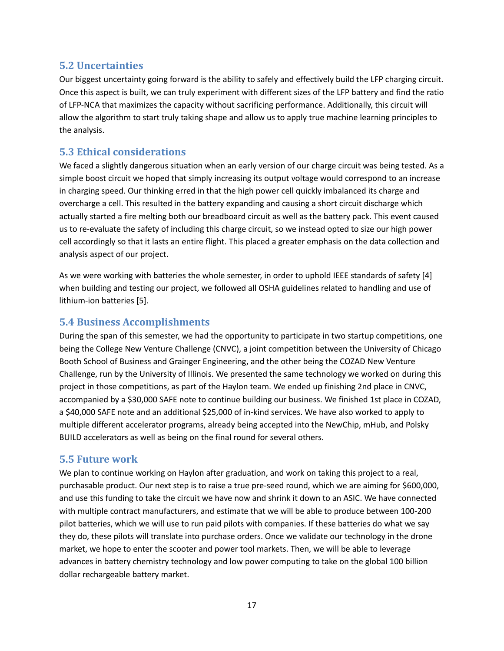## <span id="page-16-0"></span>**5.2 Uncertainties**

Our biggest uncertainty going forward is the ability to safely and effectively build the LFP charging circuit. Once this aspect is built, we can truly experiment with different sizes of the LFP battery and find the ratio of LFP-NCA that maximizes the capacity without sacrificing performance. Additionally, this circuit will allow the algorithm to start truly taking shape and allow us to apply true machine learning principles to the analysis.

## <span id="page-16-1"></span>**5.3 Ethical considerations**

We faced a slightly dangerous situation when an early version of our charge circuit was being tested. As a simple boost circuit we hoped that simply increasing its output voltage would correspond to an increase in charging speed. Our thinking erred in that the high power cell quickly imbalanced its charge and overcharge a cell. This resulted in the battery expanding and causing a short circuit discharge which actually started a fire melting both our breadboard circuit as well as the battery pack. This event caused us to re-evaluate the safety of including this charge circuit, so we instead opted to size our high power cell accordingly so that it lasts an entire flight. This placed a greater emphasis on the data collection and analysis aspect of our project.

As we were working with batteries the whole semester, in order to uphold IEEE standards of safety [4] when building and testing our project, we followed all OSHA guidelines related to handling and use of lithium-ion batteries [5].

## <span id="page-16-2"></span>**5.4 Business Accomplishments**

During the span of this semester, we had the opportunity to participate in two startup competitions, one being the College New Venture Challenge (CNVC), a joint competition between the University of Chicago Booth School of Business and Grainger Engineering, and the other being the COZAD New Venture Challenge, run by the University of Illinois. We presented the same technology we worked on during this project in those competitions, as part of the Haylon team. We ended up finishing 2nd place in CNVC, accompanied by a \$30,000 SAFE note to continue building our business. We finished 1st place in COZAD, a \$40,000 SAFE note and an additional \$25,000 of in-kind services. We have also worked to apply to multiple different accelerator programs, already being accepted into the NewChip, mHub, and Polsky BUILD accelerators as well as being on the final round for several others.

## <span id="page-16-3"></span>**5.5 Future work**

We plan to continue working on Haylon after graduation, and work on taking this project to a real, purchasable product. Our next step is to raise a true pre-seed round, which we are aiming for \$600,000, and use this funding to take the circuit we have now and shrink it down to an ASIC. We have connected with multiple contract manufacturers, and estimate that we will be able to produce between 100-200 pilot batteries, which we will use to run paid pilots with companies. If these batteries do what we say they do, these pilots will translate into purchase orders. Once we validate our technology in the drone market, we hope to enter the scooter and power tool markets. Then, we will be able to leverage advances in battery chemistry technology and low power computing to take on the global 100 billion dollar rechargeable battery market.